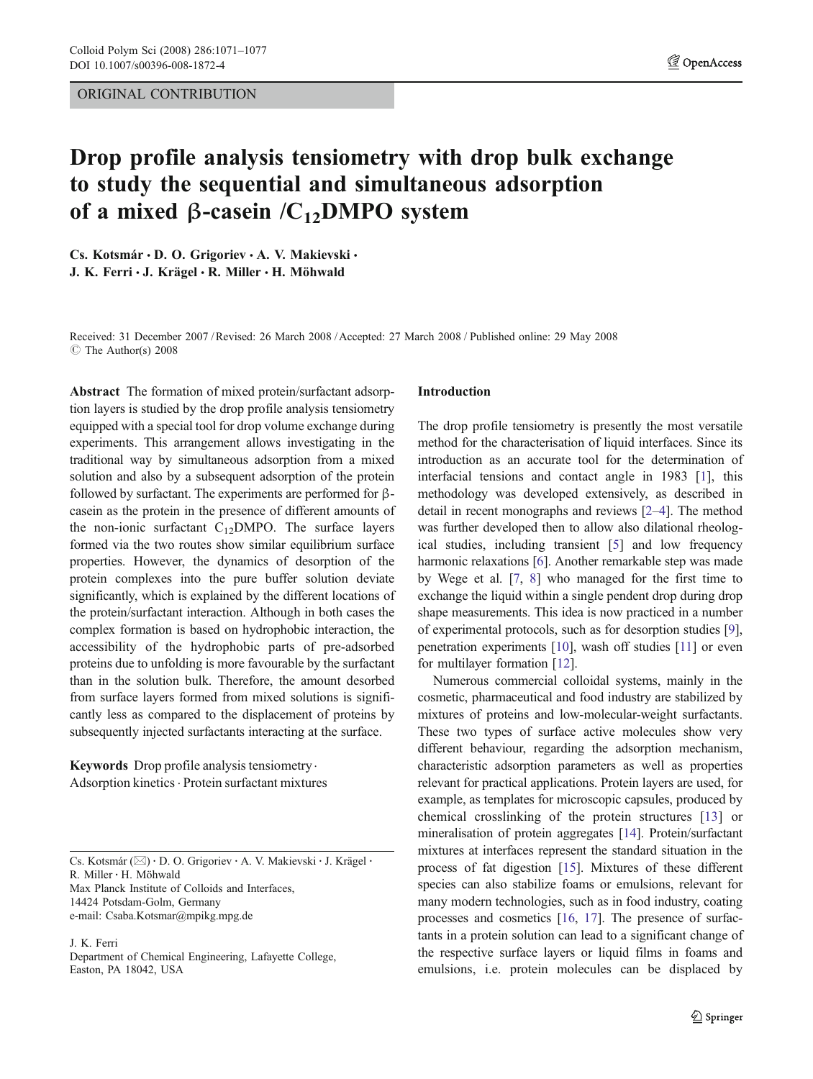## ORIGINAL CONTRIBUTION

# Drop profile analysis tensiometry with drop bulk exchange to study the sequential and simultaneous adsorption of a mixed β-casein  $/C_{12}$ DMPO system

Cs. Kotsmár · D. O. Grigoriev · A. V. Makievski · J. K. Ferri · J. Krägel · R. Miller · H. Möhwald

Received: 31 December 2007 /Revised: 26 March 2008 /Accepted: 27 March 2008 / Published online: 29 May 2008  $\circ$  The Author(s) 2008

Abstract The formation of mixed protein/surfactant adsorption layers is studied by the drop profile analysis tensiometry equipped with a special tool for drop volume exchange during experiments. This arrangement allows investigating in the traditional way by simultaneous adsorption from a mixed solution and also by a subsequent adsorption of the protein followed by surfactant. The experiments are performed for βcasein as the protein in the presence of different amounts of the non-ionic surfactant  $C_{12}$ DMPO. The surface layers formed via the two routes show similar equilibrium surface properties. However, the dynamics of desorption of the protein complexes into the pure buffer solution deviate significantly, which is explained by the different locations of the protein/surfactant interaction. Although in both cases the complex formation is based on hydrophobic interaction, the accessibility of the hydrophobic parts of pre-adsorbed proteins due to unfolding is more favourable by the surfactant than in the solution bulk. Therefore, the amount desorbed from surface layers formed from mixed solutions is significantly less as compared to the displacement of proteins by subsequently injected surfactants interacting at the surface.

Keywords Drop profile analysis tensiometry . Adsorption kinetics. Protein surfactant mixtures

Cs. Kotsmár (*\**) : D. O. Grigoriev : A. V. Makievski : J. Krägel : R. Miller : H. Möhwald Max Planck Institute of Colloids and Interfaces, 14424 Potsdam-Golm, Germany e-mail: Csaba.Kotsmar@mpikg.mpg.de

J. K. Ferri

Department of Chemical Engineering, Lafayette College, Easton, PA 18042, USA

#### Introduction

The drop profile tensiometry is presently the most versatile method for the characterisation of liquid interfaces. Since its introduction as an accurate tool for the determination of interfacial tensions and contact angle in 1983 [\[1](#page-5-0)], this methodology was developed extensively, as described in detail in recent monographs and reviews [\[2](#page-5-0)–[4\]](#page-5-0). The method was further developed then to allow also dilational rheological studies, including transient [[5\]](#page-5-0) and low frequency harmonic relaxations [\[6](#page-5-0)]. Another remarkable step was made by Wege et al. [\[7](#page-5-0), [8](#page-5-0)] who managed for the first time to exchange the liquid within a single pendent drop during drop shape measurements. This idea is now practiced in a number of experimental protocols, such as for desorption studies [[9\]](#page-5-0), penetration experiments [\[10\]](#page-5-0), wash off studies [\[11](#page-5-0)] or even for multilayer formation [[12\]](#page-5-0).

Numerous commercial colloidal systems, mainly in the cosmetic, pharmaceutical and food industry are stabilized by mixtures of proteins and low-molecular-weight surfactants. These two types of surface active molecules show very different behaviour, regarding the adsorption mechanism, characteristic adsorption parameters as well as properties relevant for practical applications. Protein layers are used, for example, as templates for microscopic capsules, produced by chemical crosslinking of the protein structures [\[13](#page-5-0)] or mineralisation of protein aggregates [[14](#page-5-0)]. Protein/surfactant mixtures at interfaces represent the standard situation in the process of fat digestion [\[15](#page-5-0)]. Mixtures of these different species can also stabilize foams or emulsions, relevant for many modern technologies, such as in food industry, coating processes and cosmetics [\[16](#page-5-0), [17\]](#page-5-0). The presence of surfactants in a protein solution can lead to a significant change of the respective surface layers or liquid films in foams and emulsions, i.e. protein molecules can be displaced by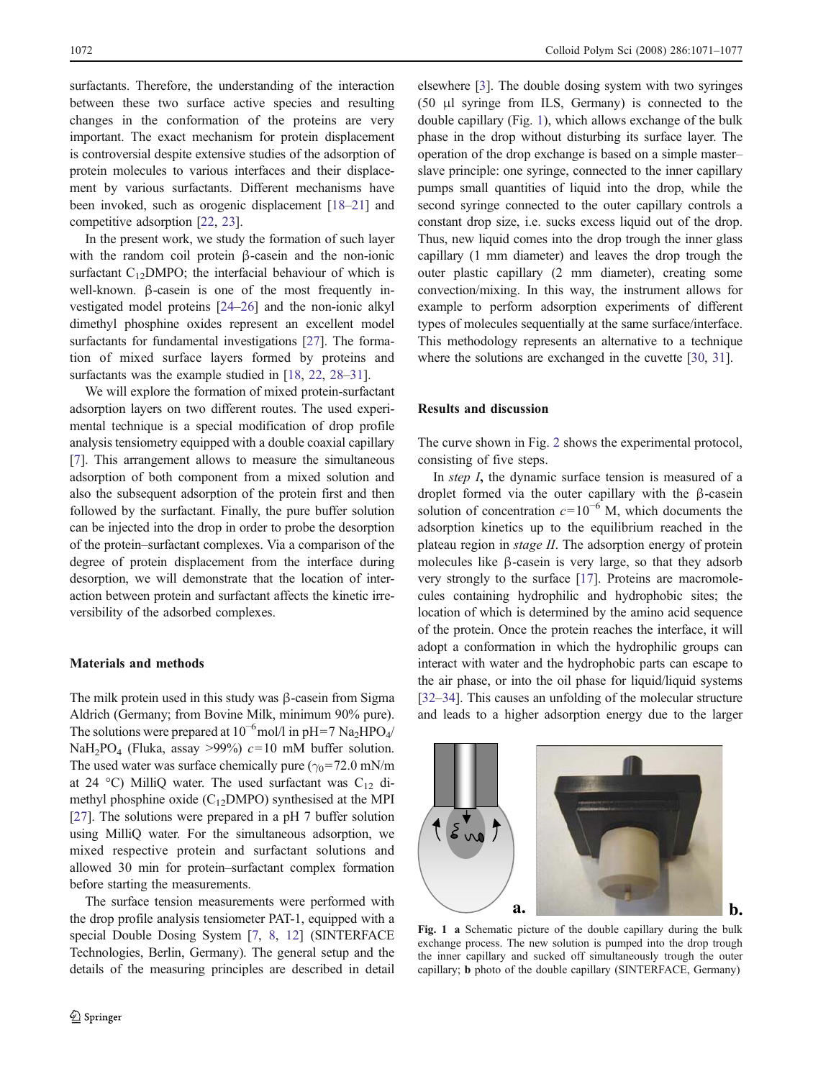surfactants. Therefore, the understanding of the interaction between these two surface active species and resulting changes in the conformation of the proteins are very important. The exact mechanism for protein displacement is controversial despite extensive studies of the adsorption of protein molecules to various interfaces and their displacement by various surfactants. Different mechanisms have been invoked, such as orogenic displacement [\[18](#page-5-0)–[21\]](#page-5-0) and competitive adsorption [\[22](#page-5-0), [23\]](#page-5-0).

In the present work, we study the formation of such layer with the random coil protein β-casein and the non-ionic surfactant  $C_{12}$ DMPO; the interfacial behaviour of which is well-known. β-casein is one of the most frequently investigated model proteins [[24](#page-5-0)–[26](#page-6-0)] and the non-ionic alkyl dimethyl phosphine oxides represent an excellent model surfactants for fundamental investigations [[27](#page-6-0)]. The formation of mixed surface layers formed by proteins and surfactants was the example studied in [[18,](#page-5-0) [22](#page-5-0), [28](#page-6-0)–[31](#page-6-0)].

We will explore the formation of mixed protein-surfactant adsorption layers on two different routes. The used experimental technique is a special modification of drop profile analysis tensiometry equipped with a double coaxial capillary [\[7](#page-5-0)]. This arrangement allows to measure the simultaneous adsorption of both component from a mixed solution and also the subsequent adsorption of the protein first and then followed by the surfactant. Finally, the pure buffer solution can be injected into the drop in order to probe the desorption of the protein–surfactant complexes. Via a comparison of the degree of protein displacement from the interface during desorption, we will demonstrate that the location of interaction between protein and surfactant affects the kinetic irreversibility of the adsorbed complexes.

#### Materials and methods

The milk protein used in this study was β-casein from Sigma Aldrich (Germany; from Bovine Milk, minimum 90% pure). The solutions were prepared at  $10^{-6}$  mol/l in pH=7 Na<sub>2</sub>HPO<sub>4</sub>/ NaH<sub>2</sub>PO<sub>4</sub> (Fluka, assay >99%)  $c=10$  mM buffer solution. The used water was surface chemically pure ( $\gamma_0$ =72.0 mN/m at 24 °C) MilliQ water. The used surfactant was  $C_{12}$  dimethyl phosphine oxide  $(C_{12}DMPO)$  synthesised at the MPI [\[27\]](#page-6-0). The solutions were prepared in a pH 7 buffer solution using MilliQ water. For the simultaneous adsorption, we mixed respective protein and surfactant solutions and allowed 30 min for protein–surfactant complex formation before starting the measurements.

The surface tension measurements were performed with the drop profile analysis tensiometer PAT-1, equipped with a special Double Dosing System [[7](#page-5-0), [8,](#page-5-0) [12](#page-5-0)] (SINTERFACE Technologies, Berlin, Germany). The general setup and the details of the measuring principles are described in detail elsewhere [\[3](#page-5-0)]. The double dosing system with two syringes (50 μl syringe from ILS, Germany) is connected to the double capillary (Fig. 1), which allows exchange of the bulk phase in the drop without disturbing its surface layer. The operation of the drop exchange is based on a simple master– slave principle: one syringe, connected to the inner capillary pumps small quantities of liquid into the drop, while the second syringe connected to the outer capillary controls a constant drop size, i.e. sucks excess liquid out of the drop. Thus, new liquid comes into the drop trough the inner glass capillary (1 mm diameter) and leaves the drop trough the outer plastic capillary (2 mm diameter), creating some convection/mixing. In this way, the instrument allows for example to perform adsorption experiments of different types of molecules sequentially at the same surface/interface. This methodology represents an alternative to a technique where the solutions are exchanged in the cuvette [\[30](#page-6-0), [31\]](#page-6-0).

# Results and discussion

The curve shown in Fig. [2](#page-2-0) shows the experimental protocol, consisting of five steps.

In *step I*, the dynamic surface tension is measured of a droplet formed via the outer capillary with the β-casein solution of concentration  $c=10^{-6}$  M, which documents the adsorption kinetics up to the equilibrium reached in the plateau region in stage II. The adsorption energy of protein molecules like β-casein is very large, so that they adsorb very strongly to the surface [\[17\]](#page-5-0). Proteins are macromolecules containing hydrophilic and hydrophobic sites; the location of which is determined by the amino acid sequence of the protein. Once the protein reaches the interface, it will adopt a conformation in which the hydrophilic groups can interact with water and the hydrophobic parts can escape to the air phase, or into the oil phase for liquid/liquid systems [\[32](#page-6-0)–[34\]](#page-6-0). This causes an unfolding of the molecular structure and leads to a higher adsorption energy due to the larger



Fig. 1 a Schematic picture of the double capillary during the bulk exchange process. The new solution is pumped into the drop trough the inner capillary and sucked off simultaneously trough the outer capillary; b photo of the double capillary (SINTERFACE, Germany)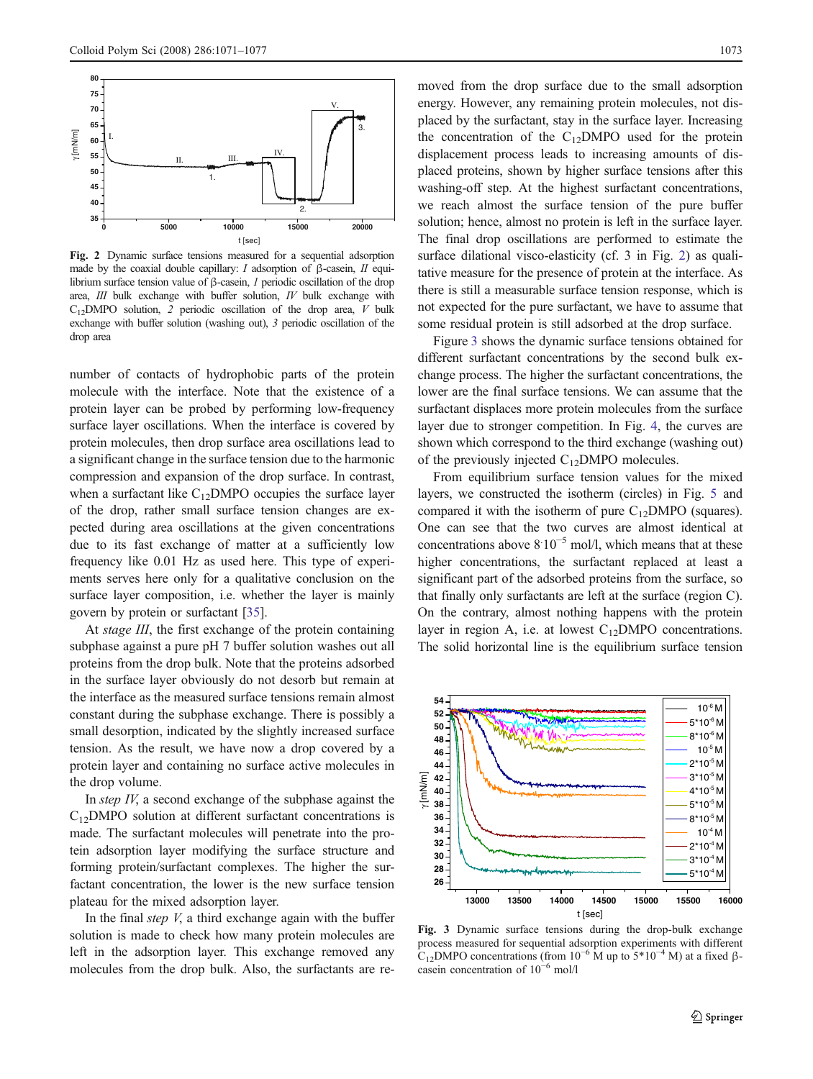<span id="page-2-0"></span>

Fig. 2 Dynamic surface tensions measured for a sequential adsorption made by the coaxial double capillary: I adsorption of β-casein, II equilibrium surface tension value of <sup>β</sup>-casein, 1 periodic oscillation of the drop area, III bulk exchange with buffer solution, IV bulk exchange with  $C_{12}$ DMPO solution, 2 periodic oscillation of the drop area, V bulk exchange with buffer solution (washing out), 3 periodic oscillation of the drop area

number of contacts of hydrophobic parts of the protein molecule with the interface. Note that the existence of a protein layer can be probed by performing low-frequency surface layer oscillations. When the interface is covered by protein molecules, then drop surface area oscillations lead to a significant change in the surface tension due to the harmonic compression and expansion of the drop surface. In contrast, when a surfactant like  $C_{12}$ DMPO occupies the surface layer of the drop, rather small surface tension changes are expected during area oscillations at the given concentrations due to its fast exchange of matter at a sufficiently low frequency like 0.01 Hz as used here. This type of experiments serves here only for a qualitative conclusion on the surface layer composition, i.e. whether the layer is mainly govern by protein or surfactant [[35](#page-6-0)].

At *stage III*, the first exchange of the protein containing subphase against a pure pH 7 buffer solution washes out all proteins from the drop bulk. Note that the proteins adsorbed in the surface layer obviously do not desorb but remain at the interface as the measured surface tensions remain almost constant during the subphase exchange. There is possibly a small desorption, indicated by the slightly increased surface tension. As the result, we have now a drop covered by a protein layer and containing no surface active molecules in the drop volume.

In step IV, a second exchange of the subphase against the  $C_{12}$ DMPO solution at different surfactant concentrations is made. The surfactant molecules will penetrate into the protein adsorption layer modifying the surface structure and forming protein/surfactant complexes. The higher the surfactant concentration, the lower is the new surface tension plateau for the mixed adsorption layer.

In the final step  $V$ , a third exchange again with the buffer solution is made to check how many protein molecules are left in the adsorption layer. This exchange removed any molecules from the drop bulk. Also, the surfactants are re-

moved from the drop surface due to the small adsorption energy. However, any remaining protein molecules, not displaced by the surfactant, stay in the surface layer. Increasing the concentration of the  $C_{12}$ DMPO used for the protein displacement process leads to increasing amounts of displaced proteins, shown by higher surface tensions after this washing-off step. At the highest surfactant concentrations, we reach almost the surface tension of the pure buffer solution; hence, almost no protein is left in the surface layer. The final drop oscillations are performed to estimate the surface dilational visco-elasticity (cf. 3 in Fig. 2) as qualitative measure for the presence of protein at the interface. As there is still a measurable surface tension response, which is not expected for the pure surfactant, we have to assume that some residual protein is still adsorbed at the drop surface.

Figure 3 shows the dynamic surface tensions obtained for different surfactant concentrations by the second bulk exchange process. The higher the surfactant concentrations, the lower are the final surface tensions. We can assume that the surfactant displaces more protein molecules from the surface layer due to stronger competition. In Fig. [4,](#page-3-0) the curves are shown which correspond to the third exchange (washing out) of the previously injected  $C_{12}$ DMPO molecules.

From equilibrium surface tension values for the mixed layers, we constructed the isotherm (circles) in Fig. [5](#page-3-0) and compared it with the isotherm of pure  $C_{12}$ DMPO (squares). One can see that the two curves are almost identical at concentrations above  $8 \cdot 10^{-5}$  mol/l, which means that at these higher concentrations, the surfactant replaced at least a significant part of the adsorbed proteins from the surface, so that finally only surfactants are left at the surface (region C). On the contrary, almost nothing happens with the protein layer in region A, i.e. at lowest  $C_{12}$ DMPO concentrations. The solid horizontal line is the equilibrium surface tension



Fig. 3 Dynamic surface tensions during the drop-bulk exchange process measured for sequential adsorption experiments with different C<sub>12</sub>DMPO concentrations (from 10<sup>-6</sup> M up to 5\*10<sup>-4</sup> M) at a fixed βcasein concentration of 10−<sup>6</sup> mol/l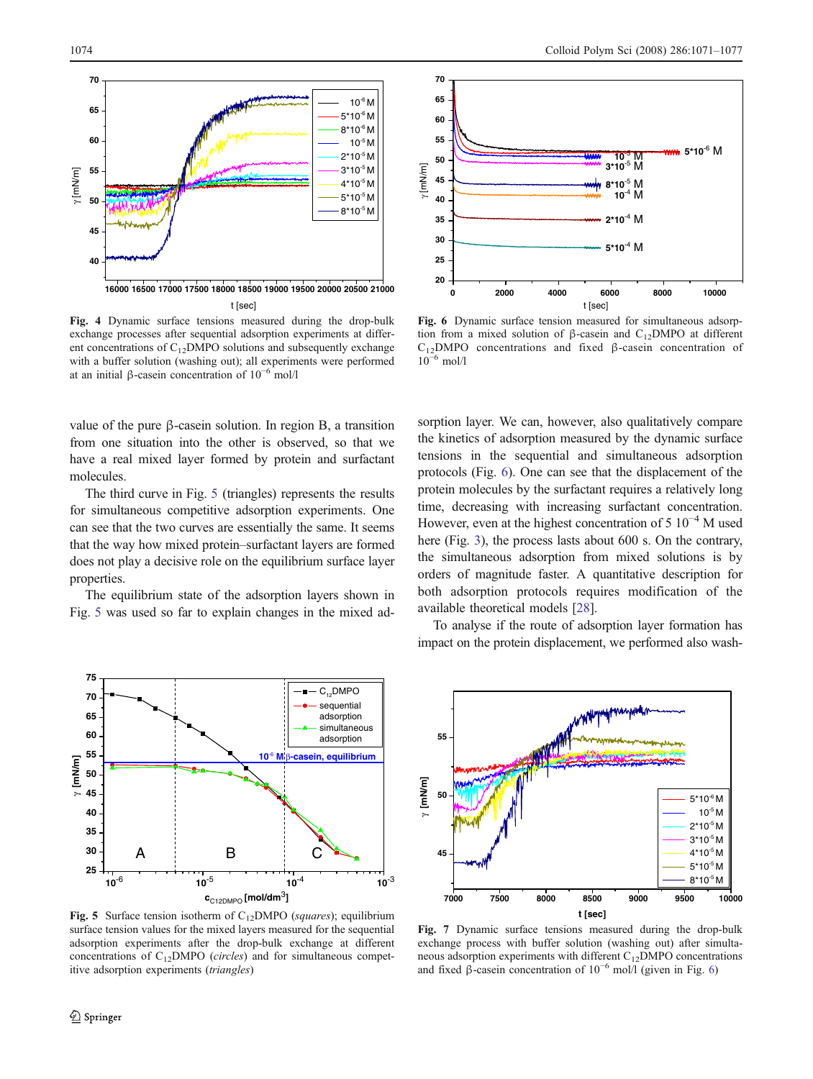<span id="page-3-0"></span>

Fig. 4 Dynamic surface tensions measured during the drop-bulk exchange processes after sequential adsorption experiments at different concentrations of  $C_{12}$ DMPO solutions and subsequently exchange with a buffer solution (washing out); all experiments were performed at an initial β-casein concentration of  $10^{-6}$  mol/l

value of the pure β-casein solution. In region B, a transition from one situation into the other is observed, so that we have a real mixed layer formed by protein and surfactant molecules.

The third curve in Fig. 5 (triangles) represents the results for simultaneous competitive adsorption experiments. One can see that the two curves are essentially the same. It seems that the way how mixed protein–surfactant layers are formed does not play a decisive role on the equilibrium surface layer properties.

The equilibrium state of the adsorption layers shown in Fig. 5 was used so far to explain changes in the mixed ad-



Fig. 5 Surface tension isotherm of  $C_{12}$ DMPO (squares); equilibrium surface tension values for the mixed layers measured for the sequential adsorption experiments after the drop-bulk exchange at different concentrations of  $C_{12}$ DMPO (*circles*) and for simultaneous competitive adsorption experiments (triangles)



Fig. 6 Dynamic surface tension measured for simultaneous adsorption from a mixed solution of β-casein and  $C_{12}$ DMPO at different C12DMPO concentrations and fixed β-casein concentration of  $10^{-6}$  mol/l

sorption layer. We can, however, also qualitatively compare the kinetics of adsorption measured by the dynamic surface tensions in the sequential and simultaneous adsorption protocols (Fig. 6). One can see that the displacement of the protein molecules by the surfactant requires a relatively long time, decreasing with increasing surfactant concentration. However, even at the highest concentration of 5  $10^{-4}$  M used here (Fig. [3](#page-2-0)), the process lasts about 600 s. On the contrary, the simultaneous adsorption from mixed solutions is by orders of magnitude faster. A quantitative description for both adsorption protocols requires modification of the available theoretical models [\[28](#page-6-0)].

To analyse if the route of adsorption layer formation has impact on the protein displacement, we performed also wash-



Fig. 7 Dynamic surface tensions measured during the drop-bulk exchange process with buffer solution (washing out) after simultaneous adsorption experiments with different  $C_{12}$ DMPO concentrations and fixed β-casein concentration of  $10^{-6}$  mol/l (given in Fig. 6)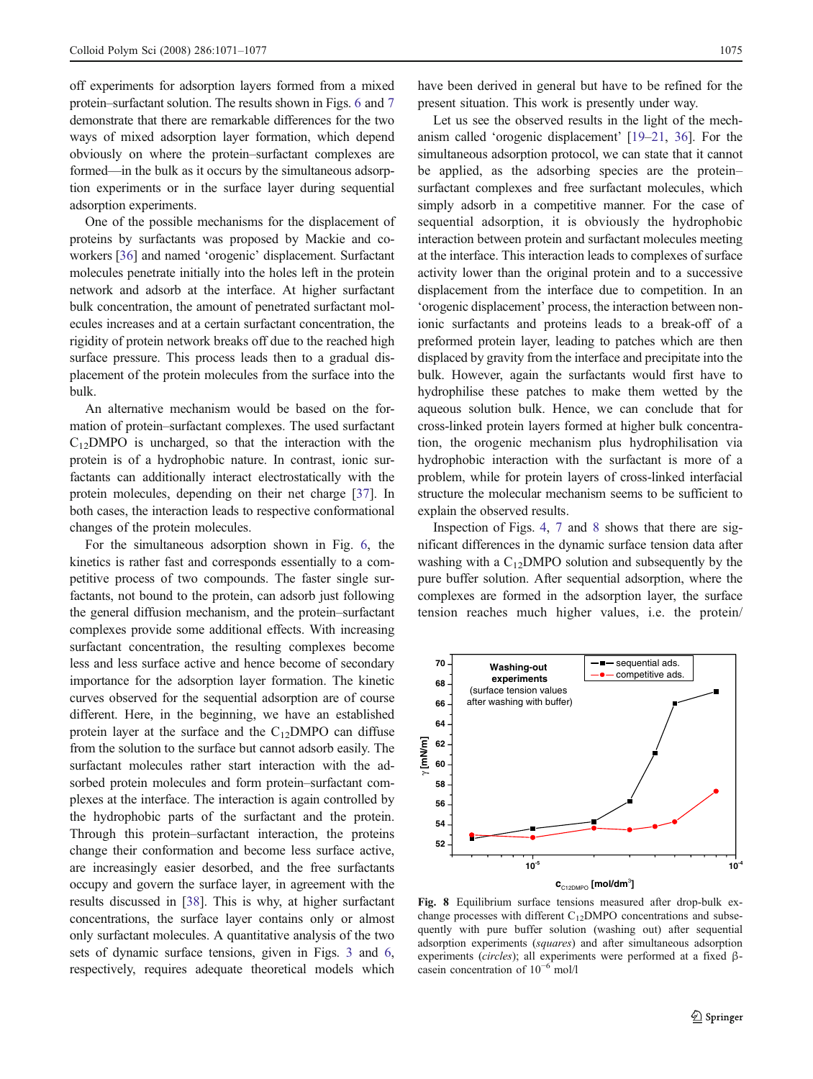off experiments for adsorption layers formed from a mixed protein–surfactant solution. The results shown in Figs. [6](#page-3-0) and [7](#page-3-0) demonstrate that there are remarkable differences for the two ways of mixed adsorption layer formation, which depend obviously on where the protein–surfactant complexes are formed—in the bulk as it occurs by the simultaneous adsorption experiments or in the surface layer during sequential adsorption experiments.

One of the possible mechanisms for the displacement of proteins by surfactants was proposed by Mackie and coworkers [[36\]](#page-6-0) and named 'orogenic' displacement. Surfactant molecules penetrate initially into the holes left in the protein network and adsorb at the interface. At higher surfactant bulk concentration, the amount of penetrated surfactant molecules increases and at a certain surfactant concentration, the rigidity of protein network breaks off due to the reached high surface pressure. This process leads then to a gradual displacement of the protein molecules from the surface into the bulk.

An alternative mechanism would be based on the formation of protein–surfactant complexes. The used surfactant  $C_{12}$ DMPO is uncharged, so that the interaction with the protein is of a hydrophobic nature. In contrast, ionic surfactants can additionally interact electrostatically with the protein molecules, depending on their net charge [\[37\]](#page-6-0). In both cases, the interaction leads to respective conformational changes of the protein molecules.

For the simultaneous adsorption shown in Fig. [6](#page-3-0), the kinetics is rather fast and corresponds essentially to a competitive process of two compounds. The faster single surfactants, not bound to the protein, can adsorb just following the general diffusion mechanism, and the protein–surfactant complexes provide some additional effects. With increasing surfactant concentration, the resulting complexes become less and less surface active and hence become of secondary importance for the adsorption layer formation. The kinetic curves observed for the sequential adsorption are of course different. Here, in the beginning, we have an established protein layer at the surface and the  $C_{12}$ DMPO can diffuse from the solution to the surface but cannot adsorb easily. The surfactant molecules rather start interaction with the adsorbed protein molecules and form protein–surfactant complexes at the interface. The interaction is again controlled by the hydrophobic parts of the surfactant and the protein. Through this protein–surfactant interaction, the proteins change their conformation and become less surface active, are increasingly easier desorbed, and the free surfactants occupy and govern the surface layer, in agreement with the results discussed in [[38](#page-6-0)]. This is why, at higher surfactant concentrations, the surface layer contains only or almost only surfactant molecules. A quantitative analysis of the two sets of dynamic surface tensions, given in Figs. [3](#page-2-0) and [6,](#page-3-0) respectively, requires adequate theoretical models which have been derived in general but have to be refined for the present situation. This work is presently under way.

Let us see the observed results in the light of the mechanism called 'orogenic displacement' [[19](#page-5-0)–[21](#page-5-0), [36](#page-6-0)]. For the simultaneous adsorption protocol, we can state that it cannot be applied, as the adsorbing species are the protein– surfactant complexes and free surfactant molecules, which simply adsorb in a competitive manner. For the case of sequential adsorption, it is obviously the hydrophobic interaction between protein and surfactant molecules meeting at the interface. This interaction leads to complexes of surface activity lower than the original protein and to a successive displacement from the interface due to competition. In an 'orogenic displacement' process, the interaction between nonionic surfactants and proteins leads to a break-off of a preformed protein layer, leading to patches which are then displaced by gravity from the interface and precipitate into the bulk. However, again the surfactants would first have to hydrophilise these patches to make them wetted by the aqueous solution bulk. Hence, we can conclude that for cross-linked protein layers formed at higher bulk concentration, the orogenic mechanism plus hydrophilisation via hydrophobic interaction with the surfactant is more of a problem, while for protein layers of cross-linked interfacial structure the molecular mechanism seems to be sufficient to explain the observed results.

Inspection of Figs. [4](#page-3-0), [7](#page-3-0) and 8 shows that there are significant differences in the dynamic surface tension data after washing with a  $C_{12}$ DMPO solution and subsequently by the pure buffer solution. After sequential adsorption, where the complexes are formed in the adsorption layer, the surface tension reaches much higher values, i.e. the protein/



Fig. 8 Equilibrium surface tensions measured after drop-bulk exchange processes with different  $C_{12}$ DMPO concentrations and subsequently with pure buffer solution (washing out) after sequential adsorption experiments (squares) and after simultaneous adsorption experiments (circles); all experiments were performed at a fixed <sup>β</sup>casein concentration of 10−<sup>6</sup> mol/l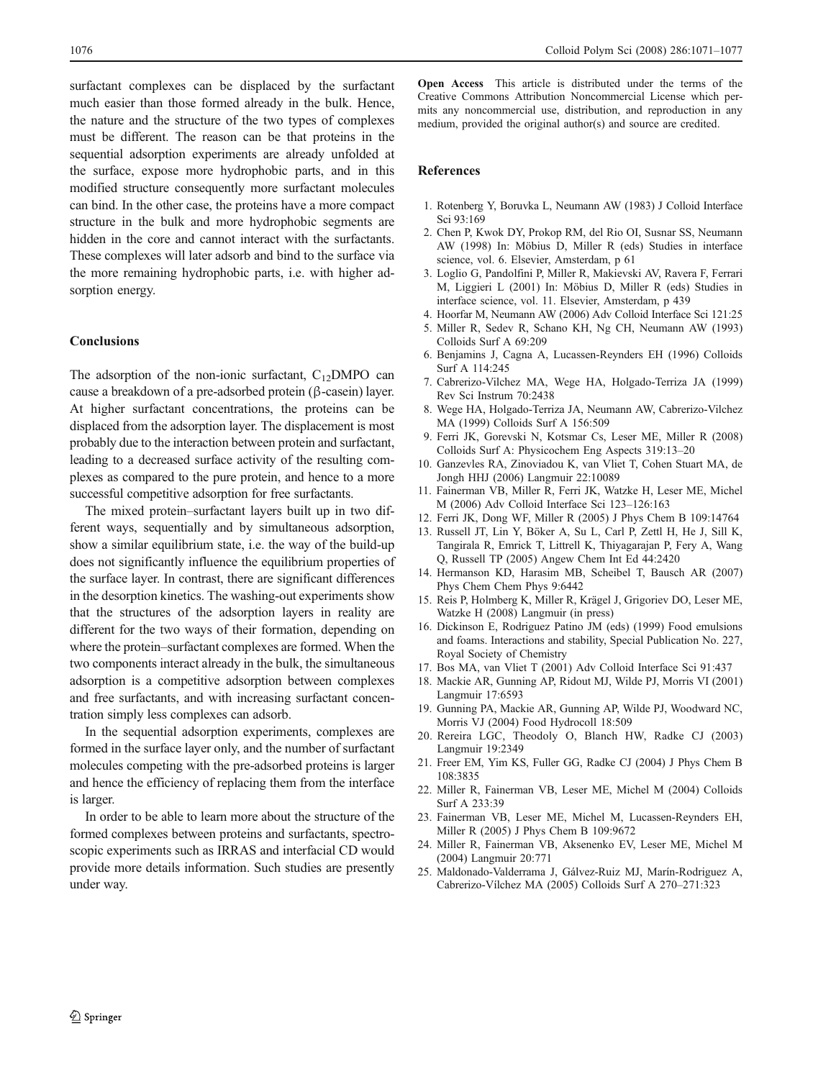<span id="page-5-0"></span>surfactant complexes can be displaced by the surfactant much easier than those formed already in the bulk. Hence, the nature and the structure of the two types of complexes must be different. The reason can be that proteins in the sequential adsorption experiments are already unfolded at the surface, expose more hydrophobic parts, and in this modified structure consequently more surfactant molecules can bind. In the other case, the proteins have a more compact structure in the bulk and more hydrophobic segments are hidden in the core and cannot interact with the surfactants. These complexes will later adsorb and bind to the surface via the more remaining hydrophobic parts, i.e. with higher adsorption energy.

## **Conclusions**

The adsorption of the non-ionic surfactant,  $C_{12}$ DMPO can cause a breakdown of a pre-adsorbed protein (β-casein) layer. At higher surfactant concentrations, the proteins can be displaced from the adsorption layer. The displacement is most probably due to the interaction between protein and surfactant, leading to a decreased surface activity of the resulting complexes as compared to the pure protein, and hence to a more successful competitive adsorption for free surfactants.

The mixed protein–surfactant layers built up in two different ways, sequentially and by simultaneous adsorption, show a similar equilibrium state, i.e. the way of the build-up does not significantly influence the equilibrium properties of the surface layer. In contrast, there are significant differences in the desorption kinetics. The washing-out experiments show that the structures of the adsorption layers in reality are different for the two ways of their formation, depending on where the protein–surfactant complexes are formed. When the two components interact already in the bulk, the simultaneous adsorption is a competitive adsorption between complexes and free surfactants, and with increasing surfactant concentration simply less complexes can adsorb.

In the sequential adsorption experiments, complexes are formed in the surface layer only, and the number of surfactant molecules competing with the pre-adsorbed proteins is larger and hence the efficiency of replacing them from the interface is larger.

In order to be able to learn more about the structure of the formed complexes between proteins and surfactants, spectroscopic experiments such as IRRAS and interfacial CD would provide more details information. Such studies are presently under way.

Open Access This article is distributed under the terms of the Creative Commons Attribution Noncommercial License which permits any noncommercial use, distribution, and reproduction in any medium, provided the original author(s) and source are credited.

#### References

- 1. Rotenberg Y, Boruvka L, Neumann AW (1983) J Colloid Interface Sci 93:169
- 2. Chen P, Kwok DY, Prokop RM, del Rio OI, Susnar SS, Neumann AW (1998) In: Möbius D, Miller R (eds) Studies in interface science, vol. 6. Elsevier, Amsterdam, p 61
- 3. Loglio G, Pandolfini P, Miller R, Makievski AV, Ravera F, Ferrari M, Liggieri L (2001) In: Möbius D, Miller R (eds) Studies in interface science, vol. 11. Elsevier, Amsterdam, p 439
- 4. Hoorfar M, Neumann AW (2006) Adv Colloid Interface Sci 121:25
- 5. Miller R, Sedev R, Schano KH, Ng CH, Neumann AW (1993) Colloids Surf A 69:209
- 6. Benjamins J, Cagna A, Lucassen-Reynders EH (1996) Colloids Surf A 114:245
- 7. Cabrerizo-Vilchez MA, Wege HA, Holgado-Terriza JA (1999) Rev Sci Instrum 70:2438
- 8. Wege HA, Holgado-Terriza JA, Neumann AW, Cabrerizo-Vilchez MA (1999) Colloids Surf A 156:509
- 9. Ferri JK, Gorevski N, Kotsmar Cs, Leser ME, Miller R (2008) Colloids Surf A: Physicochem Eng Aspects 319:13–20
- 10. Ganzevles RA, Zinoviadou K, van Vliet T, Cohen Stuart MA, de Jongh HHJ (2006) Langmuir 22:10089
- 11. Fainerman VB, Miller R, Ferri JK, Watzke H, Leser ME, Michel M (2006) Adv Colloid Interface Sci 123–126:163
- 12. Ferri JK, Dong WF, Miller R (2005) J Phys Chem B 109:14764
- 13. Russell JT, Lin Y, Böker A, Su L, Carl P, Zettl H, He J, Sill K, Tangirala R, Emrick T, Littrell K, Thiyagarajan P, Fery A, Wang Q, Russell TP (2005) Angew Chem Int Ed 44:2420
- 14. Hermanson KD, Harasim MB, Scheibel T, Bausch AR (2007) Phys Chem Chem Phys 9:6442
- 15. Reis P, Holmberg K, Miller R, Krägel J, Grigoriev DO, Leser ME, Watzke H (2008) Langmuir (in press)
- 16. Dickinson E, Rodriguez Patino JM (eds) (1999) Food emulsions and foams. Interactions and stability, Special Publication No. 227, Royal Society of Chemistry
- 17. Bos MA, van Vliet T (2001) Adv Colloid Interface Sci 91:437
- 18. Mackie AR, Gunning AP, Ridout MJ, Wilde PJ, Morris VI (2001) Langmuir 17:6593
- 19. Gunning PA, Mackie AR, Gunning AP, Wilde PJ, Woodward NC, Morris VJ (2004) Food Hydrocoll 18:509
- 20. Rereira LGC, Theodoly O, Blanch HW, Radke CJ (2003) Langmuir 19:2349
- 21. Freer EM, Yim KS, Fuller GG, Radke CJ (2004) J Phys Chem B 108:3835
- 22. Miller R, Fainerman VB, Leser ME, Michel M (2004) Colloids Surf A 233:39
- 23. Fainerman VB, Leser ME, Michel M, Lucassen-Reynders EH, Miller R (2005) J Phys Chem B 109:9672
- 24. Miller R, Fainerman VB, Aksenenko EV, Leser ME, Michel M (2004) Langmuir 20:771
- 25. Maldonado-Valderrama J, Gálvez-Ruiz MJ, Marín-Rodriguez A, Cabrerizo-Vílchez MA (2005) Colloids Surf A 270–271:323